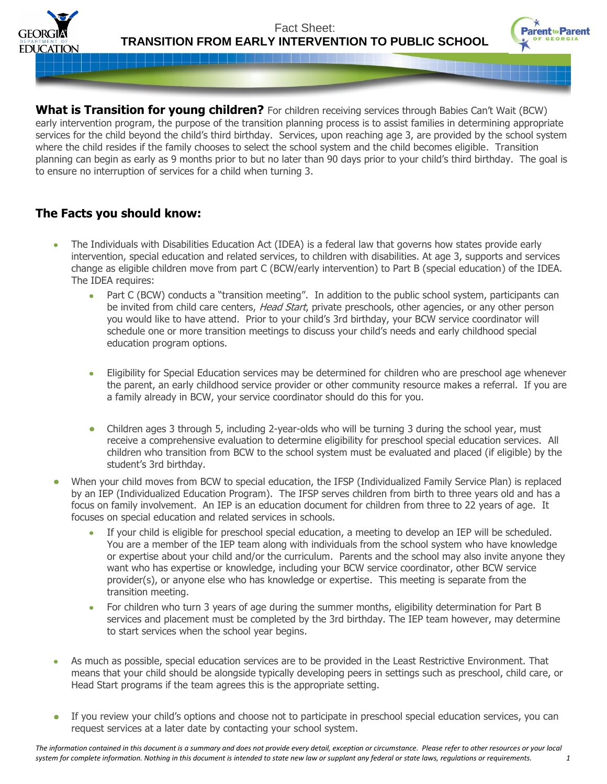

Fact Sheet: **TRANSITION FROM EARLY INTERVENTION TO PUBLIC SCHOOL**



**What is Transition for young children?** For children receiving services through Babies Can't Wait (BCW) early intervention program, the purpose of the transition planning process is to assist families in determining appropriate services for the child beyond the child's third birthday. Services, upon reaching age 3, are provided by the school system where the child resides if the family chooses to select the school system and the child becomes eligible. Transition planning can begin as early as 9 months prior to but no later than 90 days prior to your child's third birthday. The goal is to ensure no interruption of services for a child when turning 3.

## **The Facts you should know:**

- The Individuals with Disabilities Education Act (IDEA) is a federal law that governs how states provide early  $\bullet$ intervention, special education and related services, to children with disabilities. At age 3, supports and services change as eligible children move from part C (BCW/early intervention) to Part B (special education) of the IDEA. The IDEA requires:
	- Part C (BCW) conducts a "transition meeting". In addition to the public school system, participants can be invited from child care centers, Head Start, private preschools, other agencies, or any other person you would like to have attend. Prior to your child's 3rd birthday, your BCW service coordinator will schedule one or more transition meetings to discuss your child's needs and early childhood special education program options.
	- Eligibility for Special Education services may be determined for children who are preschool age whenever the parent, an early childhood service provider or other community resource makes a referral. If you are a family already in BCW, your service coordinator should do this for you.
	- Children ages 3 through 5, including 2-year-olds who will be turning 3 during the school year, must receive a comprehensive evaluation to determine eligibility for preschool special education services. All children who transition from BCW to the school system must be evaluated and placed (if eligible) by the student's 3rd birthday.
- When your child moves from BCW to special education, the IFSP (Individualized Family Service Plan) is replaced by an IEP (Individualized Education Program). The IFSP serves children from birth to three years old and has a focus on family involvement. An IEP is an education document for children from three to 22 years of age. It focuses on special education and related services in schools.
	- If your child is eligible for preschool special education, a meeting to develop an IEP will be scheduled. You are a member of the IEP team along with individuals from the school system who have knowledge or expertise about your child and/or the curriculum. Parents and the school may also invite anyone they want who has expertise or knowledge, including your BCW service coordinator, other BCW service provider(s), or anyone else who has knowledge or expertise. This meeting is separate from the transition meeting.
	- For children who turn 3 years of age during the summer months, eligibility determination for Part B services and placement must be completed by the 3rd birthday. The IEP team however, may determine to start services when the school year begins.
- As much as possible, special education services are to be provided in the Least Restrictive Environment. That means that your child should be alongside typically developing peers in settings such as preschool, child care, or Head Start programs if the team agrees this is the appropriate setting.
- If you review your child's options and choose not to participate in preschool special education services, you can  $\bullet$ request services at a later date by contacting your school system.